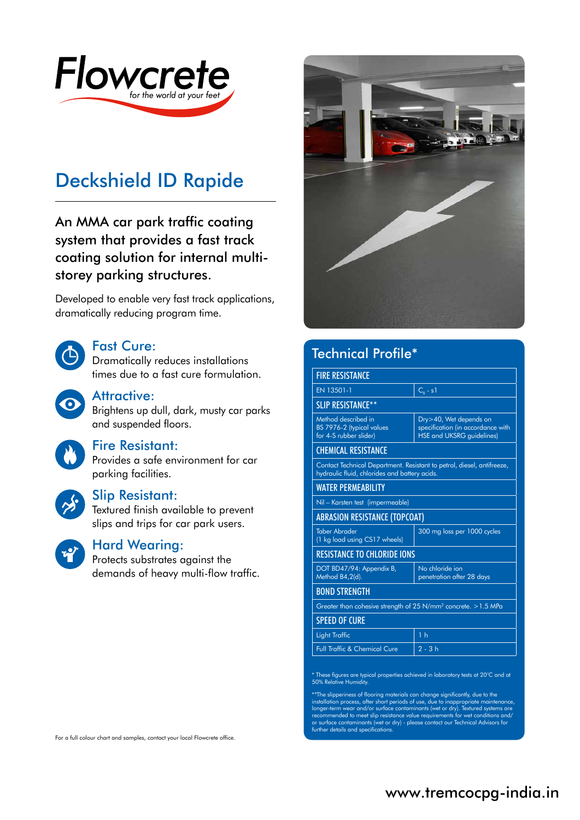

# Deckshield ID Rapide

An MMA car park traffic coating system that provides a fast track coating solution for internal multistorey parking structures.

Developed to enable very fast track applications, dramatically reducing program time.



#### Fast Cure:

Dramatically reduces installations times due to a fast cure formulation.



#### Attractive:

Brightens up dull, dark, musty car parks and suspended floors.

### Fire Resistant:

Provides a safe environment for car parking facilities.



#### Slip Resistant:

Textured finish available to prevent slips and trips for car park users.



### Hard Wearing:

Protects substrates against the demands of heavy multi-flow traffic.

> BOND STRENGTH SPEED OF CURE

| <b>T SPEED OF CURE</b>                  |                |
|-----------------------------------------|----------------|
| Light Traffic                           | 1 <sub>h</sub> |
| <b>Full Traffic &amp; Chemical Cure</b> | $2 - 3h$       |

\* These figures are typical properties achieved in laboratory tests at 20°C and at 50% Relative Humidity.

\*\*The slipperiness of flooring materials can change significantly, due to the installation process, after short periods of use, due to inappropriate maintenance,<br>longer-term wear and/or surface contaminants (wet or dry). Textured systems are<br>recommended to meet slip resistance value requirements for

For a full colour chart and samples, contact your local Flowcrete office.



## Technical Profile\*

| <b>FIRE RESISTANCE</b>                                                                                                  |                                                                                                 |  |  |
|-------------------------------------------------------------------------------------------------------------------------|-------------------------------------------------------------------------------------------------|--|--|
| EN 13501-1                                                                                                              | $Ca - s1$                                                                                       |  |  |
| <b>SLIP RESISTANCE**</b>                                                                                                |                                                                                                 |  |  |
| Method described in<br>BS 7976-2 (typical values<br>for 4-S rubber slider)                                              | Dry>40, Wet depends on<br>specification (in accordance with<br><b>HSE and UKSRG guidelines)</b> |  |  |
| <b>CHEMICAL RESISTANCE</b>                                                                                              |                                                                                                 |  |  |
| Contact Technical Department. Resistant to petrol, diesel, antifreeze,<br>hydraulic fluid, chlorides and battery acids. |                                                                                                 |  |  |
| <b><i>WATER PERMEABILITY</i></b>                                                                                        |                                                                                                 |  |  |
| Nil - Karsten test (impermeable)                                                                                        |                                                                                                 |  |  |
|                                                                                                                         | <b>ABRASION RESISTANCE (TOPCOAT)</b>                                                            |  |  |
| <b>Taber Abrader</b><br>(1 kg load using CS17 wheels)                                                                   | 300 mg loss per 1000 cycles                                                                     |  |  |
| <b>RESISTANCE TO CHLORIDE IONS</b>                                                                                      |                                                                                                 |  |  |
| DOT BD47/94: Appendix B,<br>Method B4,2(d).                                                                             | No chloride ion<br>penetration after 28 days                                                    |  |  |
| <b>BOND STRENGTH</b>                                                                                                    |                                                                                                 |  |  |
| Greater than cohesive strength of $25 \text{ N/mm}^2$ concrete. $>1.5 \text{ MPa}$                                      |                                                                                                 |  |  |
| <b>SPEED OF CURE</b>                                                                                                    |                                                                                                 |  |  |
| Light Traffic                                                                                                           | 1 <sub>h</sub>                                                                                  |  |  |
| <b>Full Traffic &amp; Chemical Cure</b>                                                                                 | $2 - 3h$                                                                                        |  |  |